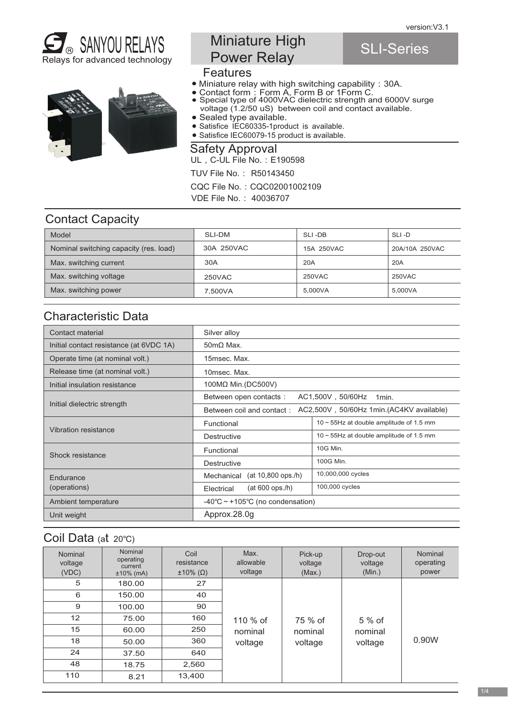SLI-Series





# Miniature High Power Relay

#### **Features**

- Miniature relay with high switching capability:30A.
- Contact form:Form A, Form B or 1Form C.
- Special type of 4000VAC dielectric strength and 6000V surge voltage (1.2/50 uS) between coil and contact available.
- Sealed type available.
- Satisfice IEC60335-1product is available.
- Satisfice IEC60079-15 product is available.

UL, C-UL File No.: E190598 Safety Approval

TUV File No.: R50143450

CQC File No.:CQC02001002109

VDE File No.: 40036707

#### Contact Capacity

| Model                                  | SLI-DM     | SLI-DB     | SLI-D          |
|----------------------------------------|------------|------------|----------------|
| Nominal switching capacity (res. load) | 30A 250VAC | 15A 250VAC | 20A/10A 250VAC |
| Max. switching current                 | 30A        | 20A        | 20A            |
| Max. switching voltage                 | 250VAC     | 250VAC     | 250VAC         |
| Max. switching power                   | 7.500VA    | 5.000VA    | 5.000VA        |

### Characteristic Data

| Contact material                        | Silver alloy                                                          |                                               |  |  |
|-----------------------------------------|-----------------------------------------------------------------------|-----------------------------------------------|--|--|
| Initial contact resistance (at 6VDC 1A) | $50 \text{m}\Omega$ Max.                                              |                                               |  |  |
| Operate time (at nominal volt.)         | 15msec. Max.                                                          |                                               |  |  |
| Release time (at nominal volt.)         | 10msec. Max.                                                          |                                               |  |  |
| Initial insulation resistance           | $100M\Omega$ Min. (DC500V)                                            |                                               |  |  |
|                                         | Between open contacts:<br>AC1,500V, 50/60Hz<br>1 <sub>min</sub>       |                                               |  |  |
| Initial dielectric strength             | AC2,500V, 50/60Hz 1min.(AC4KV available)<br>Between coil and contact: |                                               |  |  |
| Vibration resistance                    | Functional                                                            | $10 \sim 55$ Hz at double amplitude of 1.5 mm |  |  |
|                                         | Destructive                                                           | $10 \sim 55$ Hz at double amplitude of 1.5 mm |  |  |
| Shock resistance                        | Functional                                                            | 10G Min.                                      |  |  |
|                                         | Destructive                                                           | 100G Min.                                     |  |  |
| Endurance                               | (at 10,800 ops./h)<br>Mechanical                                      | 10,000,000 cycles                             |  |  |
| (operations)                            | $(at 600$ ops./h)<br>Electrical                                       | 100,000 cycles                                |  |  |
| Ambient temperature                     | $-40^{\circ}$ C ~ +105°C (no condensation)                            |                                               |  |  |
| Unit weight                             | Approx.28.0q                                                          |                                               |  |  |

#### Coil Data (at 20℃)

| Nominal<br>voltage<br>(VDC) | Nominal<br>operating<br>current<br>$±10\%$ (mA) | Coil<br>resistance<br>$\pm 10\%$ ( $\Omega$ ) | Max.<br>allowable<br>voltage | Pick-up<br>voltage<br>(Max.) | Drop-out<br>voltage<br>(Min.) | Nominal<br>operating<br>power |
|-----------------------------|-------------------------------------------------|-----------------------------------------------|------------------------------|------------------------------|-------------------------------|-------------------------------|
| 5                           | 180.00                                          | 27                                            |                              |                              |                               |                               |
| 6                           | 150.00                                          | 40                                            |                              |                              |                               |                               |
| 9                           | 100.00                                          | 90                                            |                              |                              |                               |                               |
| $12 \overline{ }$           | 75.00                                           | 160                                           | 110 % of                     | 75 % of                      | $5%$ of                       |                               |
| 15                          | 60.00                                           | 250                                           | nominal                      | nominal                      | nominal                       |                               |
| 18                          | 50.00                                           | 360                                           | voltage                      | voltage                      | voltage                       | 0.90W                         |
| 24                          | 37.50                                           | 640                                           |                              |                              |                               |                               |
| 48                          | 18.75                                           | 2,560                                         |                              |                              |                               |                               |
| 110                         | 8.21                                            | 13,400                                        |                              |                              |                               |                               |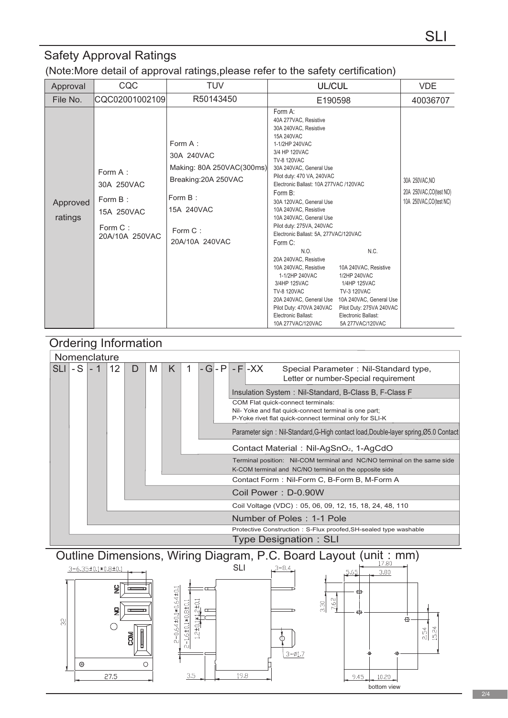## Safety Approval Ratings

(Note:More detail of approval ratings,please refer to the safety certification)

| Approval            | CQC                                                                         | <b>TUV</b>                                                                                                                       | <b>UL/CUL</b>                                                                                                                                                                                                                                                                                                                                                                                                                                                                                                                                                                                                                       |                                                                                                                                                                                | <b>VDE</b>                                                           |
|---------------------|-----------------------------------------------------------------------------|----------------------------------------------------------------------------------------------------------------------------------|-------------------------------------------------------------------------------------------------------------------------------------------------------------------------------------------------------------------------------------------------------------------------------------------------------------------------------------------------------------------------------------------------------------------------------------------------------------------------------------------------------------------------------------------------------------------------------------------------------------------------------------|--------------------------------------------------------------------------------------------------------------------------------------------------------------------------------|----------------------------------------------------------------------|
| File No.            | CQC02001002109                                                              | R50143450                                                                                                                        | E190598                                                                                                                                                                                                                                                                                                                                                                                                                                                                                                                                                                                                                             |                                                                                                                                                                                | 40036707                                                             |
| Approved<br>ratings | Form A:<br>30A 250VAC<br>Form B:<br>15A 250VAC<br>Form C:<br>20A/10A 250VAC | Form A:<br>30A 240VAC<br>Making: 80A 250VAC(300ms)<br>Breaking: 20A 250VAC<br>Form B:<br>15A 240VAC<br>Form C:<br>20A/10A 240VAC | Form A:<br>40A 277VAC, Resistive<br>30A 240VAC, Resistive<br>15A 240VAC<br>1-1/2HP 240VAC<br>3/4 HP 120VAC<br><b>TV-8 120VAC</b><br>30A 240VAC, General Use<br>Pilot duty: 470 VA, 240VAC<br>Electronic Ballast: 10A 277VAC /120VAC<br>Form B:<br>30A 120VAC, General Use<br>10A 240VAC, Resistive<br>10A 240VAC, General Use<br>Pilot duty: 275VA, 240VAC<br>Electronic Ballast: 5A, 277VAC/120VAC<br>Form C:<br>N.O.<br>20A 240VAC, Resistive<br>10A 240VAC, Resistive<br>1-1/2HP 240VAC<br>3/4HP 125VAC<br><b>TV-8 120VAC</b><br>20A 240VAC, General Use<br>Pilot Duty: 470VA 240VAC<br>Electronic Ballast:<br>10A 277VAC/120VAC | N.C.<br>10A 240VAC, Resistive<br>1/2HP 240VAC<br>1/4HP 125VAC<br>TV-3 120VAC<br>10A 240VAC, General Use<br>Pilot Duty: 275VA 240VAC<br>Electronic Ballast:<br>5A 277VAC/120VAC | 30A 250VAC, NO<br>20A 250VAC, CO(test NO)<br>10A 250VAC, CO(test NC) |



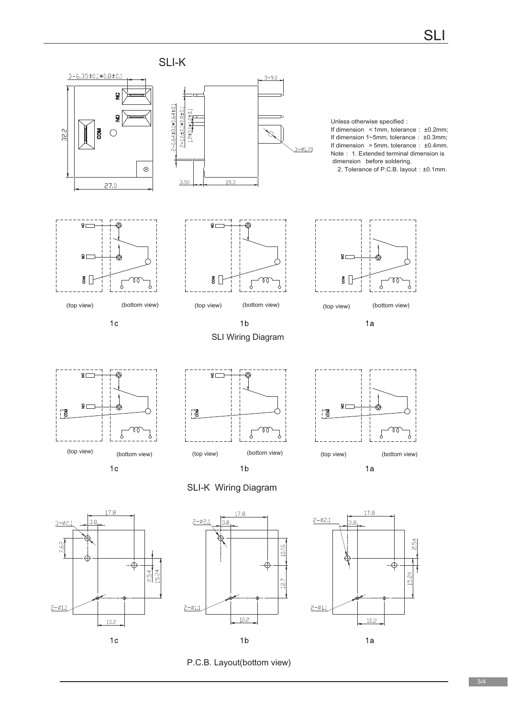

P.C.B. Layout(bottom view)

 $1<sub>c</sub>$ 

 $1<sub>b</sub>$ 

 $1a$